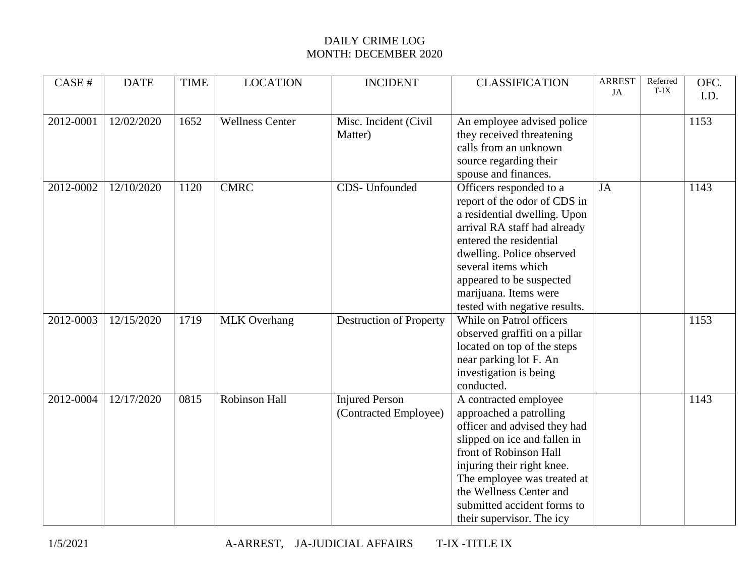## DAILY CRIME LOG MONTH: DECEMBER 2020

| CASE#     | <b>DATE</b> | <b>TIME</b> | <b>LOCATION</b>        | <b>INCIDENT</b>                                | <b>CLASSIFICATION</b>                                                                                                                                                                                                                                                                          | <b>ARREST</b><br>JA | Referred<br>T-IX | OFC.<br>I.D. |
|-----------|-------------|-------------|------------------------|------------------------------------------------|------------------------------------------------------------------------------------------------------------------------------------------------------------------------------------------------------------------------------------------------------------------------------------------------|---------------------|------------------|--------------|
| 2012-0001 | 12/02/2020  | 1652        | <b>Wellness Center</b> | Misc. Incident (Civil<br>Matter)               | An employee advised police<br>they received threatening<br>calls from an unknown<br>source regarding their<br>spouse and finances.                                                                                                                                                             |                     |                  | 1153         |
| 2012-0002 | 12/10/2020  | 1120        | <b>CMRC</b>            | CDS- Unfounded                                 | Officers responded to a<br>report of the odor of CDS in<br>a residential dwelling. Upon<br>arrival RA staff had already<br>entered the residential<br>dwelling. Police observed<br>several items which<br>appeared to be suspected<br>marijuana. Items were<br>tested with negative results.   | JA                  |                  | 1143         |
| 2012-0003 | 12/15/2020  | 1719        | <b>MLK</b> Overhang    | Destruction of Property                        | While on Patrol officers<br>observed graffiti on a pillar<br>located on top of the steps<br>near parking lot F. An<br>investigation is being<br>conducted.                                                                                                                                     |                     |                  | 1153         |
| 2012-0004 | 12/17/2020  | 0815        | Robinson Hall          | <b>Injured Person</b><br>(Contracted Employee) | A contracted employee<br>approached a patrolling<br>officer and advised they had<br>slipped on ice and fallen in<br>front of Robinson Hall<br>injuring their right knee.<br>The employee was treated at<br>the Wellness Center and<br>submitted accident forms to<br>their supervisor. The icy |                     |                  | 1143         |